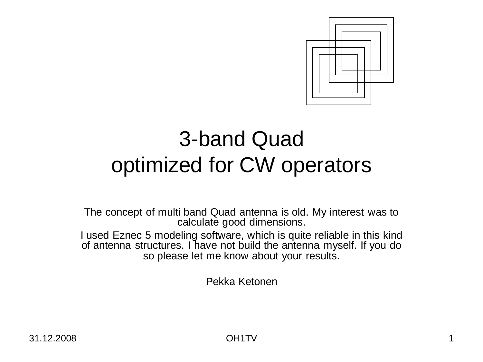

# 3-band Quad optimized for CW operators

The concept of multi band Quad antenna is old. My interest was to calculate good dimensions.

I used Eznec 5 modeling software, which is quite reliable in this kind of antenna structures. I have not build the antenna myself. If you do so please let me know about your results.

Pekka Ketonen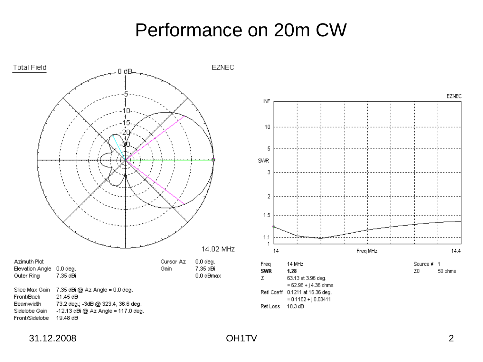## Performance on 20m CW

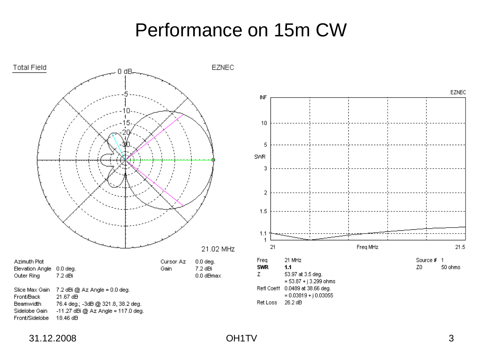## Performance on 15m CW



31.12.2008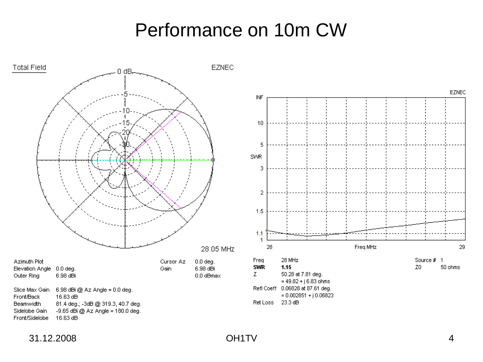## Performance on 10m CW





31.12.2008 OH1TV 4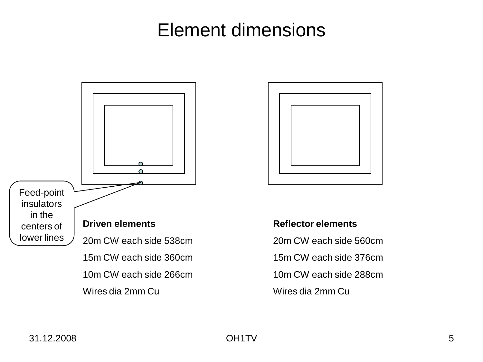# Element dimensions





#### **Reflector elements**

20m CW each side 560cm 15m CW each side 376cm 10m CW each side 288cm Wires dia 2mm Cu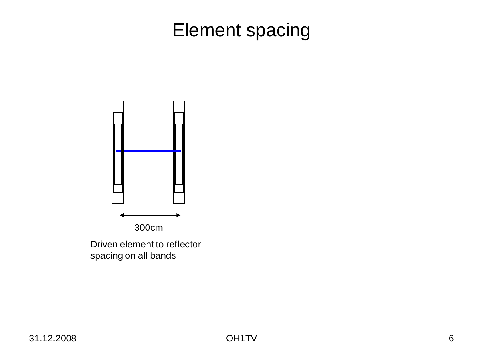# Element spacing



Driven element to reflector spacing on all bands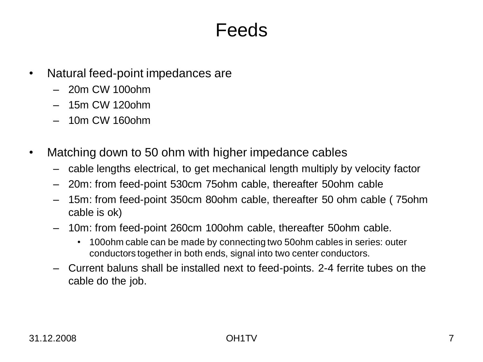#### Feeds

- Natural feed-point impedances are
	- 20m CW 100ohm
	- 15m CW 120ohm
	- 10m CW 160ohm
- Matching down to 50 ohm with higher impedance cables
	- cable lengths electrical, to get mechanical length multiply by velocity factor
	- 20m: from feed-point 530cm 75ohm cable, thereafter 50ohm cable
	- 15m: from feed-point 350cm 80ohm cable, thereafter 50 ohm cable ( 75ohm cable is ok)
	- 10m: from feed-point 260cm 100ohm cable, thereafter 50ohm cable.
		- 100ohm cable can be made by connecting two 50ohm cables in series: outer conductors together in both ends, signal into two center conductors.
	- Current baluns shall be installed next to feed-points. 2-4 ferrite tubes on the cable do the job.